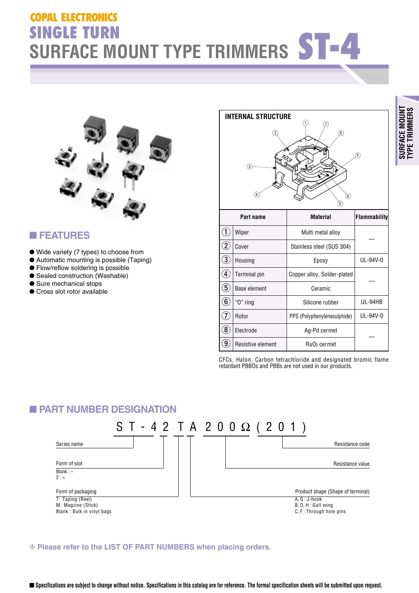# **COPAL ELECTRONICS OPAL SINGLE TURN<br>SURFACE MOUNT TYPE TRIMMERS ST-4**



#### ■ **FEATURES**

- Wide variety (7 types) to choose from
- Automatic mounting is possible (Taping)
- Flow/reflow soldering is possible
- Sealed construction (Washable)
- Sure mechanical stops
- Cross slot rotor available



| Part name |                     | <b>Material</b>                     | <b>Flammability</b> |  |
|-----------|---------------------|-------------------------------------|---------------------|--|
|           | Wiper               | Multi metal alloy                   |                     |  |
|           | Cover               | Stainless steel (SUS 304)           |                     |  |
| 3         | Housing             | Epoxy                               | UL-94V-0            |  |
|           | <b>Terminal pin</b> | Copper alloy, Solder-plated         |                     |  |
| ხ         | Base element        | Ceramic                             |                     |  |
| 6         | " $0$ " ring        | Silicone rubber                     | UL-94HB             |  |
|           | Rotor               | PPS (Polyphenylenesulphide)         | UL-94V-0            |  |
| 8         | Electrode           | Ag-Pd cermet                        |                     |  |
| 9         | Resistive element   | Ru <sub>O</sub> <sub>2</sub> cermet |                     |  |

CFCs, Halon, Carbon tetrachloride and designated bromic flame retardant PBBOs and PBBs are not used in our products.

#### ■ **PART NUMBER DESIGNATION**



❈ **Please refer to the LIST OF PART NUMBERS when placing orders.**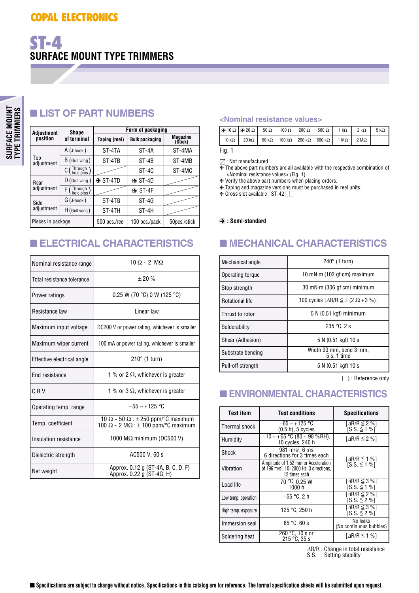#### ■ **LIST OF PART NUMBERS**

| Adjustment        | <b>Shape</b>    | Form of packaging                      |               |                            |  |
|-------------------|-----------------|----------------------------------------|---------------|----------------------------|--|
| position          | of terminal     | <b>Bulk packaging</b><br>Taping (reel) |               | <b>Magazine</b><br>(Stick) |  |
|                   | $A$ (J-hook)    | ST-4TA                                 | ST-4A         | ST-4MA                     |  |
| Top<br>adjustment | B (Gull wing)   | ST-4TB                                 | ST-4B         | ST-4MB                     |  |
|                   | $C$ (Through)   |                                        | $ST-4C$       | ST-4MC                     |  |
| Rear              | $D$ (Gull wing) | $\odot$ ST-4TD                         | $\odot$ ST-4D |                            |  |
| adjustment        | F (Through)     |                                        | $\odot$ ST-4F |                            |  |
| Side              | $G$ (J-hook)    | ST-4TG                                 | $ST-4G$       |                            |  |
| adjustment        | $H$ (Gull wing) | ST-4TH                                 | ST-4H         |                            |  |
| Pieces in package |                 | 500 pcs./reel                          | 100 pcs./pack | 50pcs./stick               |  |

| Nominal resistance range   | $10 \Omega \sim 2 \text{ M}\Omega$                                                                            |  |
|----------------------------|---------------------------------------------------------------------------------------------------------------|--|
| Total resistance tolerance | ± 20%                                                                                                         |  |
| Power ratings              | $0.25$ W (70 °C) 0 W (125 °C)                                                                                 |  |
| Resistance law             | Linear law                                                                                                    |  |
| Maximum input voltage      | DC200 V or power rating, whichever is smaller                                                                 |  |
| Maximum wiper current      | 100 mA or power rating, whichever is smaller                                                                  |  |
| Effective electrical angle | $210^\circ$ (1 turn)                                                                                          |  |
| <b>Fnd resistance</b>      | 1 % or 2 $\Omega$ , whichever is greater                                                                      |  |
| C.R.V.                     | 1 % or 3 $\Omega$ , whichever is greater                                                                      |  |
| Operating temp. range      | $-55 \approx +125$ °C                                                                                         |  |
| Temp. coefficient          | 10 $\Omega$ ~ 50 $\Omega$ : $\pm$ 250 ppm/°C maximum<br>100 $\Omega \sim 2$ M $\Omega$ : ± 100 ppm/°C maximum |  |
| Insulation resistance      | 1000 MΩ minimum (DC500 V)                                                                                     |  |
| Dielectric strength        | AC500 V, 60 s                                                                                                 |  |
| Net weight                 | Approx. 0.12 g (ST-4A, B, C, D, F)<br>Approx. 0.22 g (ST-4G, H)                                               |  |

#### **<Nominal resistance values>**

|              | $\Theta$ 10 $\Omega$ $\Theta$ 20 $\Omega$ 50 $\Omega$ 100 $\Omega$ 200 $\Omega$ 1 |  |  |  | $500 \Omega$                                                                                           | 1 k $\Omega$ | $2 k\Omega$         | $5 \text{ k}\Omega$ |
|--------------|-----------------------------------------------------------------------------------|--|--|--|--------------------------------------------------------------------------------------------------------|--------------|---------------------|---------------------|
| $10 k\Omega$ |                                                                                   |  |  |  | $20 \text{ k}\Omega$   50 k $\Omega$   100 k $\Omega$   200 k $\Omega$   500 k $\Omega$   1 M $\Omega$ |              | $2 \text{ M}\Omega$ |                     |
| Fig. $1$     |                                                                                   |  |  |  |                                                                                                        |              |                     |                     |

: Not manufactured  $\overline{\text{#}}$  The above part numbers are all available with the respective combination of <Nominal resistance values> (Fig. 1).

❈ Verify the above part numbers when placing orders.

❈ Taping and magazine versions must be purchased in reel units.

 $\cdot$  Cross slot available : ST-42  $\Box$ 

#### A **: Semi-standard**

#### ■ **ELECTRICAL CHARACTERISTICS** ■ **MECHANICAL CHARACTERISTICS**

| Mechanical angle       | $240^\circ$ (1 turn)                                             |  |  |
|------------------------|------------------------------------------------------------------|--|--|
| Operating torque       | 10 mN $\cdot$ m {102 gf $\cdot$ cm} maximum                      |  |  |
| Stop strength          | 30 mN·m {306 gf·cm} minimum                                      |  |  |
| <b>Rotational life</b> | 100 cycles $\left[\Delta R/R \leq \pm (2 \Omega + 3 \%) \right]$ |  |  |
| Thrust to rotor        | $5 N$ {0.51 kgf} minimum                                         |  |  |
| Solderability          | $235 °C$ , 2 s                                                   |  |  |
| Shear (Adhesion)       | 5 N {0.51 kgf} 10 s                                              |  |  |
| Substrate bending      | Width 90 mm, bend 3 mm,<br>$5 s$ , 1 time                        |  |  |
| Pull-off strength      | 5 N {0.51 kgf} 10 s                                              |  |  |

{ } : Reference only

#### ■ **ENVIRONMENTAL CHARACTERISTICS**

| <b>Test item</b><br>Test conditions |                                                                                                              | <b>Specifications</b>                                |  |
|-------------------------------------|--------------------------------------------------------------------------------------------------------------|------------------------------------------------------|--|
| Thermal shock                       | $-65 - +125$ °C<br>$(0.5 h)$ , 5 cycles                                                                      | [ $\Delta$ R/R $\leq$ 2 %]<br>$SS \leq 1 \%$         |  |
| Humidity                            | $-10 \sim +65$ °C (80 ~ 98 %RH),<br>10 cycles, 240 h                                                         | $\lceil \Delta R/R \leq 2 \% \rceil$                 |  |
| Shock                               | 981 m/s <sup>2</sup> , 6 ms<br>6 directions for 3 times each                                                 | $\lceil \Delta R/R \leq 1 \% \rceil$                 |  |
| Vibration                           | Amplitude of 1.52 mm or Acceleration<br>of 196 m/s <sup>2</sup> , 10~2000 Hz, 3 directions,<br>12 times each | $[S.S. \le 1\%]$                                     |  |
| Load life                           | 70 °C, 0.25 W<br>1000h                                                                                       | $\lceil \Delta R/R \leq 3 \% \rceil$<br>[S.S. ≤ 1 %] |  |
| Low temp. operation                 | –55 °C. 2 h                                                                                                  | [ $\Delta$ R/R $\leq$ 2 %]<br>$[S.S. \leq 2\%]$      |  |
| High temp. exposure                 | 125 °C, 250 h                                                                                                | [ $\Delta$ R/R $\leq$ 3 %]<br>[S.S. ≤ 2 %]           |  |
| Immersion seal                      | 85 °C.60 s                                                                                                   | No leaks<br>(No continuous bubbles)                  |  |
| Soldering heat                      | 260 °C, 10 s or<br>$215 °C$ , $35 s$                                                                         | [ $\Delta$ R/R $\leq$ 1 %]                           |  |

<sup>∆</sup>R/R : Change in total resistance S.S. : Setting stability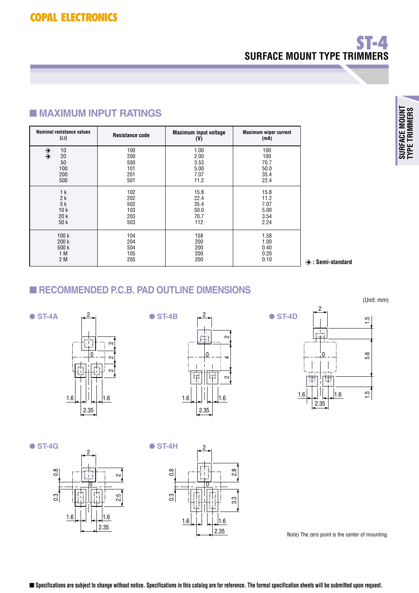# **SURFACE MOUNT TYPE TRIMMERS ST-4**

#### ■ **MAXIMUM INPUT RATINGS**

| <b>Nominal resistance values</b>                        | <b>Resistance code</b>                 | <b>Maximum input voltage</b>                 | <b>Maximum wiper current</b>               |
|---------------------------------------------------------|----------------------------------------|----------------------------------------------|--------------------------------------------|
| $(\Omega)$                                              |                                        | (V)                                          | (mA)                                       |
| 10<br>$\bigcircledast$<br>20<br>50<br>100<br>200<br>500 | 100<br>200<br>500<br>101<br>201<br>501 | 1.00<br>2.00<br>3.53<br>5.00<br>7.07<br>11.2 | 100<br>100<br>70.7<br>50.0<br>35.4<br>22.4 |
| 1 <sub>k</sub>                                          | 102                                    | 15.8                                         | 15.8                                       |
| 2k                                                      | 202                                    | 22.4                                         | 11.2                                       |
| 5k                                                      | 502                                    | 35.4                                         | 7.07                                       |
| 10k                                                     | 103                                    | 50.0                                         | 5.00                                       |
| 20k                                                     | 203                                    | 70.7                                         | 3.54                                       |
| 50 k                                                    | 503                                    | 112                                          | 2.24                                       |
| 100k                                                    | 104                                    | 158                                          | 1.58                                       |
| 200 k                                                   | 204                                    | 200                                          | 1.00                                       |
| 500 k                                                   | 504                                    | 200                                          | 0.40                                       |
| 1 M                                                     | 105                                    | 200                                          | 0.20                                       |
| 2 M                                                     | 205                                    | 200                                          | 0.10                                       |

A **: Semi-standard**

#### ■ **RECOMMENDED P.C.B. PAD OUTLINE DIMENSIONS**







● **ST-4G** ● **ST-4H** 





Note) The zero point is the center of mounting.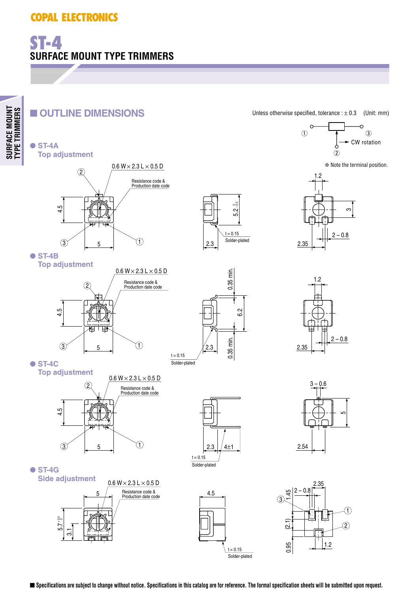# **SURFACE MOUNT TYPE TRIMMERS ST-4**

### ■ **OUTLINE DIMENSIONS**









3

С

Unless otherwise specified, tolerance  $: \pm 0.3$  (Unit: mm)

 $\circ$ 



● **ST-4B Top adjustment**



 $0.35$  min. 0.35 min. 0.35 min. 6.2 0.35 min. 2.3  $t = 0.15$ Solder-plated

1.2 2.35  $2 - 0.8$ 

● **ST-4C**







● **ST-4G Side adjustment** 5

> $\frac{1}{3}$  $-5.7$  $rac{4}{5}$





4.5

 $t = 0.15$ Solder-plated

■ Specifications are subject to change without notice. Specifications in this catalog are for reference. The formal specification sheets will be submitted upon request.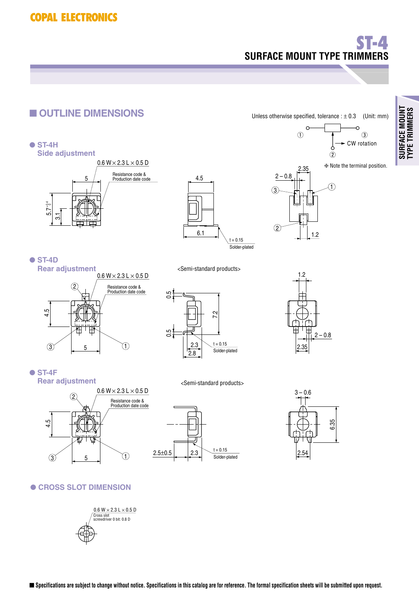# **SURFACE MOUNT TYPE TRIMMERS ST-4**



■ Specifications are subject to change without notice. Specifications in this catalog are for reference. The formal specification sheets will be submitted upon request.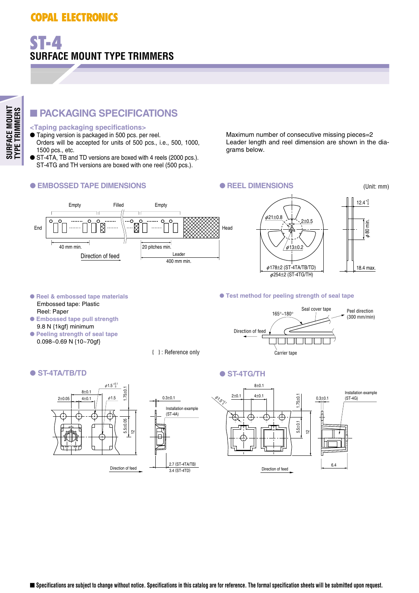### **COPAL ELECTRONICS OPAL**

#### ■ **PACKAGING SPECIFICATIONS**

#### **<Taping packaging specifications>**

**SURFACE MOUNT TYPE TRIMMERS**

SURFACE MOUNT<br>TYPE TRIMMERS

- Taping version is packaged in 500 pcs. per reel. Orders will be accepted for units of 500 pcs., i.e., 500, 1000, 1500 pcs., etc.
- ST-4TA, TB and TD versions are boxed with 4 reels (2000 pcs.). ST-4TG and TH versions are boxed with one reel (500 pcs.).

#### ● EMBOSSED TAPE DIMENSIONS ● **REEL DIMENSIONS**

Maximum number of consecutive missing pieces=2 Leader length and reel dimension are shown in the diagrams below.

(Unit: mm)





#### ● **Reel & embossed tape materials** Embossed tape: Plastic Reel: Paper

- **Embossed tape pull strength** 9.8 N {1kgf} minimum
- **Peeling strength of seal tape** 0.098~0.69 N {10~70gf}

{ } : Reference only

#### ● ST-4TA/TB/TD ● ST-4TG/TH



#### ● **Test method for peeling strength of seal tape**